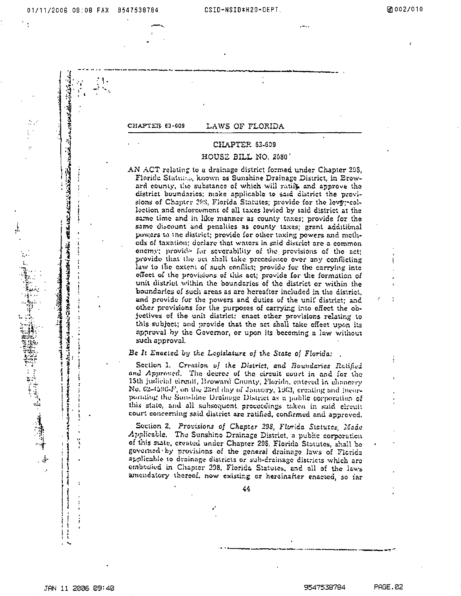i Ale

 $\mathbf{r}$ 

アカルト コント・ファイン いっしょう じゅうしょうかい

とういうこう いっこう いっこう こうしょう かいしょう いっこう インタル・ファイン

**化学生的 医心理学 医心理学 医心理学 医心理学 医心理学 医心理学** 

CHAPTER 63-609

## LAWS OF FLORIDA

# CHAPTER 63-609

## HOUSE BILL NO. 2080'

AN ACT relating to a drainage district formed under Chapter 298, Floride Statutes, known as Sunshine Drainage District, in Broward county, the substance of which will ratiff and approve the district boundaries; make applicable to said district the provisions of Chapter 293, Florida Statutes; provide for the levypeollection and enforcement of all taxes levied by said district at the same time and in like manner as county taxes; provide for the samo discount and penallies as county taxes; grant additional powers to the district; provide for other taxing powers and methods of taxation; declare that waters in said district are a common enemy; provide for severability of the provisions of the act; provide that the act shall take precedence over any conflicting law to the extent of such conflict; provide for the carrying into effect of the provisions of this act; provide for the formation of unit district within the boundaries of the district or within the boundaries of such areas as are hereafter included in the district, and provide for the powers and duties of the unit district; and other provisions for the purposes of carrying into effect the objectives of the unit district; enact other provisions relating to this subject; and provide that the act shall take effect upon its approval by the Governor, or upon its becoming a law without such approval.

### Be It Enacted by the Legislature of the State of Florida:

Section 1. Creation of the District, and Boundaries Ratified and Approved. The decree of the circuit court in and for the 15th judicial circuit, Broward County, Florida, entered in chancery No. 62-4596-F, on the 22rd day of January, 1963, creating and incorporating the Sunshine Drainage District as a public corporation of this state, and all subsequent proceedings taken in suid circuit court concerning said district are ratified, confirmed and approved.

Section 2. Provisions of Chapter 298, Florida Statutes, Made Applicable. The Sunshine Drainage District, a public corporation of this state, created under Chapter 298, Florida Statutes, shall be governed by provisions of the general drainage laws of Florida applicable to droinage districts or sub-drainage districts which are embodied in Chapter 298, Florida Statutes, and all of the laws amendatory thereof, now existing or hereinafter enacted, so far

44

PAGE.02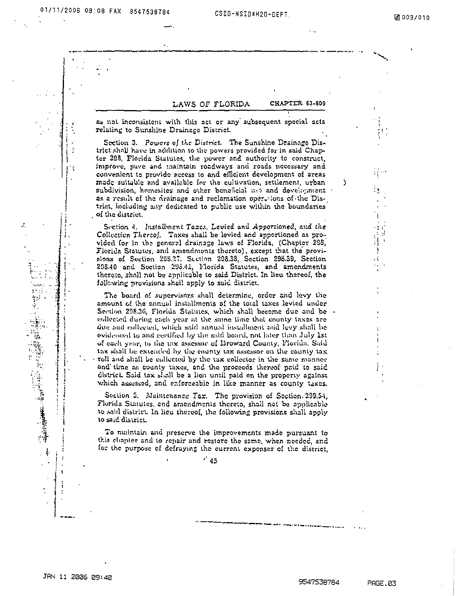ċ

्<br>पर्ने

## LAWS OF FLORIDA

CHAPTER 63-509

as not inconsistent with this act or any subsequent special acts relating to Sunshine Drainage District.

Section 3. Powers of the District. The Sunshine Drainage District shall have in addition to the powers provided for in said Chapter 293. Florida Statutes, the power and authority to construct, improve, pave and maintain roadways and roads necessary and convenient to provide access to and efficient development of areas made suitable and available for the cultivation, settlement, urban subdivision, homesites and other beneficial use and development as a result of the drainage and reclamation opertuons of the District, including any dedicated to public use within the boundaries of the district.

Section 4. Installment Taxes, Levied and Apportioned, and the Collection Thereof. Taxes shall be levied and apportioned as provided for in the general drainage laws of Florida, (Chapter 298, Florida Statutes, and amendments thereto), except that the provisions of Section 298.27. Section 298.38, Section 298.39, Section 295.40 and Section 295.41, Florida Statutes, and amendments thereto, shall not be applicable to said District. In lieu thereof, the following provisions shall apply to said district.

The board of supervisors shall determine, order and levy the amount of the annual installments of the total taxes levied under Section 298.36, Florida Statutes, which shall become due and be collected during each year at the same lime that county taxes are due and collected, which said annual installment and levy shall be evidenced to and certified by the said board, not later than July 1st of each year, to the tax assessor of Broward County, Florida. Said tax shall be extended by the county tax assessor on the county tax roll and shall be collected by the tax collector in the same manner and time as county taxes, and the proceeds thereof paid to said district. Said tax shall be a lien until paid on the property against which assessed, and enforceable in like manner as county taxes.

Section 5. Maintenance Tax. The provision of Section. 209.54, Florida Statutes, and amendments thereto, shall not be applicable to said district. In lieu thereof, the following provisions shall apply to said district.

To maintain and preserve the improvements made pursuant to this chapter and to repair and restore the same, when needed, and for the purpose of defraying the current expenses of the district,

 $^{\prime}$  45

١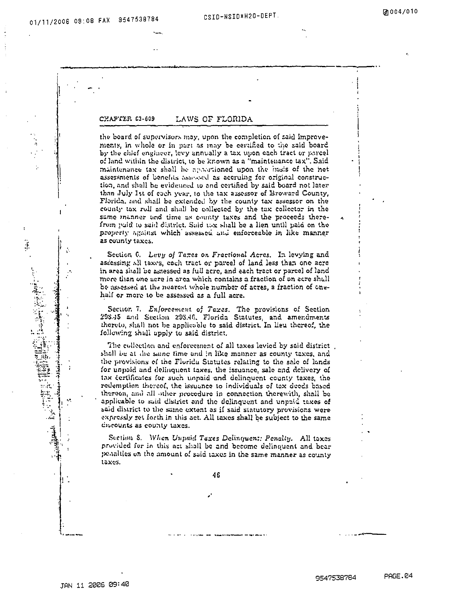$\ddot{x}$ 

Ŵ

### CHAPTER C3-609 LAWS OF FLORIDA

the board of supervisors may, upon the completion of said improvements, in whole or in part as may be certified to the said board by the chief engineer, levy annually a tax upon each tract or parcel of land within the district, to be known as a "maintenance tax". Said maintenance tax shall be apportioned upon the insis of the net assessments of benefits assessed as accruing for original construction, and shall be evidenced to and certified by said board not later than July Ist of each year, to the tax assessor of Broward County, Florida, and shall be extended by the county tax assessor on the county tax roll and shall be collected by the tax collector in the same manner and time as county taxes and the proceeds therefrom paid to said district. Said tax shall be a lien until paid on the property against which assessed and enforceable in like manner as county taxes.

Section 6. Levy of Taxes on Fractional Acres. In levying and assessing all taxes, each tract or parcel of land less than one acre in area shall be assessed as full acre, and each tract or parcel of land mere than one acre in area which contains a fraction of an acre shull be assessed at the nearest whole number of acres, a fraction of onehalf or more to be assessed as a full acre.

Section 7. Enforcement of Taxes. The provisions of Section 298.45 and Section 298.46, Florida Statutes, and amendments thereto, shall not be applicable to said district. In lieu thereof, the following shall upply to said district.

The collection and enforcement of all taxes levied by said district. shall be at the same time and in like manner as county taxes, and the provisions of the Florida Statutes relating to the sale of lands for unpoid and delinquent taxes, the issuance, sale and delivery of tax dertificates for such unpaid and delinquent county taxes, the redemption thereof, the issuance to individuals of tax deeds based thereon, and all other procedure in connection therewith, shall be applicable to said district and the delinquent and unpaid taxes of said district to the same extent as if said statutory provisions were expressly set forth in this act. All taxes shall be subject to the same divrounts as county taxes.

Section 8. When Unpaid Taxes Delinquent: Penalty. All taxes provided for in this act shall be and become delinquent and bear penalties on the amount of said taxes in the same manner as county taxes.

46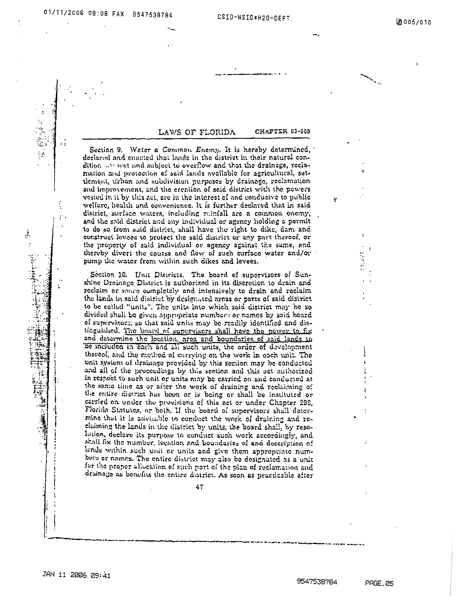# 01/11/2008 09:08 FAX 9547538784

网络起目

ķ.

 $\ddot{i}$ 

### CHAPTER 63-609 LAWS OF FLORIDA

Section 9. Water a Common Enemy. It is hereby determined, declared and enacted that lands in the district in their natural condition ... wet and subject to overflow and that the drainage, reclamation and protection of said lands available for agricultural, settlement, urban and subdivision purposes by drainage, reclamation and improvement, and the creation of said district with the powers vested in it by this act, are in the interest of and conducive to public welfare, health and convenience. It is further declared that in said district, surface waters, including rainfall are a common enemy, and the said district and any individual or agency holding a permit to do so from suid district, shall have the right to dike, dam and construct levees to protect the said district or any part thereof, or the property of said individual or agency against the same, and thereby divert the course and flow of such surface water and/or pump the water from within such dikes and levees.

Section 10. Unit Districts. The board of supervisors of Sunshine Drainage District is authorized in its discretion to drain and reclaim or nowe completely and intensively to drain and reclaim the lands in said district by designated areas or parts of said district to be called "units". The units into which said district may be so divided shall be given appropriate numbers or names by said board of supervisors, so that said units may be readily identified and distinguished. The board of supervisors shall have the power to fix and determine the location, area and boundaries of said lands to be included in each and all such units, the order of development thereof, and the mothod of carrying on the work in each unit. The unit system of drainage provided by this section may be conducted and all of the proceedings by this section and this act authorized in respect to such unit or units may be carried on and conducted at the same time as or after the work of draining and reclaiming of the entire district has been or is being or shall be instituted or carried on under the provisions of this act or under Chapter 208. Florida Statutes, or both. If the board of supervisors shall determine that it is advisable to conduct the work of draining and reclaiming the lands in the district by units, the board shall, by reso-Intion, declare its purpose to conduct such work accordingly, and shall fix the number, location and boundaries of and description of lands within such unit or units and give them appropriate numbeys or names. The entire district may also be designated as a unit for the proper allocation of such port of the plan of reclamation and drainage as benefits the entire district. As soon as practicable after

 $47$ 

**PAGE.05** 

Y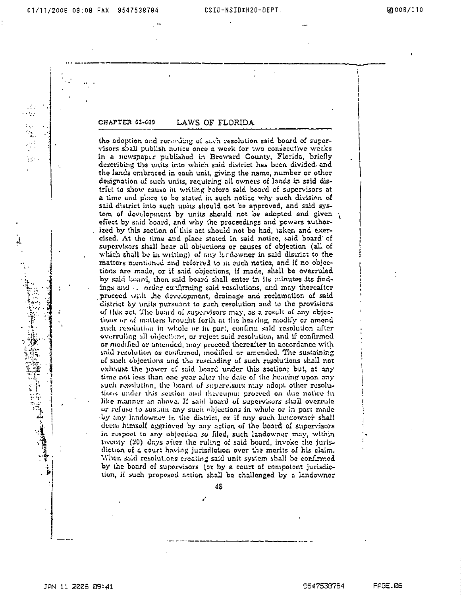$\alpha$  ,  $\beta$  ,  $\beta$ 

CHAPTER 63-609

## LAWS OF FLORIDA

the adoption and recording of such resolution said board of supervisors shall publish notice once a week for two consecutive weeks in a newspaper published in Broward County, Florida, briefly describing the units into which said district has been divided and the lands embraced in each unit, giving the name, number or other designation of such units, requiring all owners of lands in said district to show cause in writing hefore said board of supervisors at a time and place to be stated in such notice why such division of said district into such units should not be approved, and said system of development by units should not be adopted and given  $\sqrt{ }$ effect by said board, and why the proceedings and powers authorized by this section of this act should not be had, taken and exercised. At the time and place stated in said notice, said board of supervisors shall hear all objections or causes of objection (all of which shall be in writing) of any lardowner in said district to the matters mentioned and referred to in such notice, and if no objections are made, or if said objections, if made, shall be overruled by said board, then said board shall enter in its minutes its findings and the order confirming said resolutions, and may thereafter proceed with the development, drainage and reclamation of said district by units pursuant to such resolution and to the provisions of this act. The board of supervisors may, as a result of any objections or of matters brought forth at the hearing, modify or amend such resolution in whole or in part, confirm said resolution after overruling all objections, or reject said resolution, and if confirmed or modified or amended, may proceed thereafter in accordance with said resolution as confirmed, modified or amended. The sustaining of such objections and the rescinding of such resolutions shall not exhaust the power of said board under this section; but, at any time not less than one year after the date of the hearing upon any such resolution, the board of supervisors may adopt other resolutions under this section and thereupon proceed on due notice in like number as above. If said board of supervisors shall overrule or refuse to sustain any such objections in whole or in part made by any landowner in the district, or if any such landowner shall deem himself aggrieved by any action of the board of supervisors in respect to any objection so filed, such landowner may, within twenty (20) days after the ruling of said board, invoke the jurisdiction of a court having jurisdiction over the merits of his claim. When said resolutions creating said unit system shall be confirmed by the board of supervisors (or by a court of competent jurisdiction, if such proposed action shell be challenged by a landowner

48

í.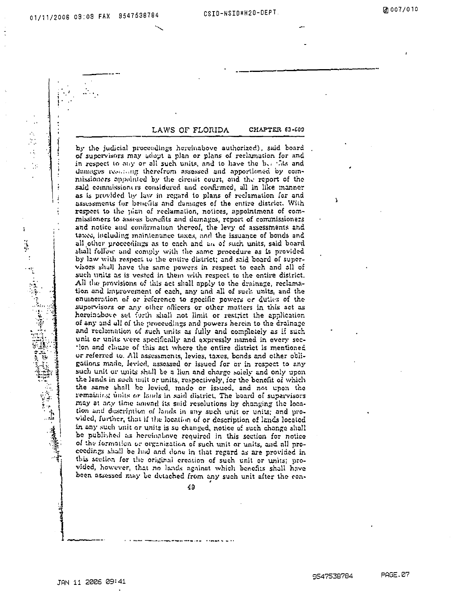÷

 $\ddot{\cdot}$ 

 $\ddot{\phantom{0}}$ 

 $\cdot$ 

### LAWS OF FLORIDA CHAPTER 61-609

by the judicial proceedings hereinabove authorized), said board of supervisors may adopt a plan or plans of reclamation for and in respect to any or all such units, and to have the bearlies and damages resulting therefrom assessed and apportioned by commissioners appointed by the circuit court, and the report of the said commissioners considered and confirmed, all in like manner as is provided by law in regard to plans of reclamation for and assessments for benefits and damages of the entire district. With respect to the pian of reclamation, notices, appointment of commissioners to assess benefits and damages, report of commissioners and notice and confirmation thereof, the levy of assessments and taxes, including maintenance taxes, and the issuance of bonds and all other proceedings as to each and an of such units, said board shall follow and comply with the same procedure as is provided by law with respect to the entire district; and said board of supervisors shall have the same powers in respect to each and all of such units as is vested in them with respect to the entire district. All the provisions of this act shall apply to the drainage, reclamation and improvement of each, any and all of such units, and the enumeration of or reference to specific powers or duties of the supervisors or any other officers or other matters in this act as hereinabove set forth shall not limit or restrict the application of any and all of the proceedings and powers herein to the drainage and reclamation of such units as fully and completely as if such unit or units were specifically and expressly named in every section and clause of this act where the entire district is mentioned or referred to. All assessments, levies, taxes, bonds and other obligations made, levied, assessed or issued for or in respect to any such unit or units shall be a lien and charge solely and only upon the lands in such unit or units, respectively, for the benefit of which the same shall be levied, made or issued, and not upon the remaining units or lands in said district. The beard of supervisors may at any time amend its said resolutions by changing the location and description of lands in any such unit or units; and provided, further, that if the location of or description of lands located in any such unit or units is so changed, notice of such change shall be published as hereinabove required in this section for notice of the formation or organization of such unit or units, and all proceedings shall be had and done in that regard as are provided in this section for the original creation of such unit or units; provided, however, that no lands against which benefits shall have been assessed may be detached from any such unit after the con-

49

A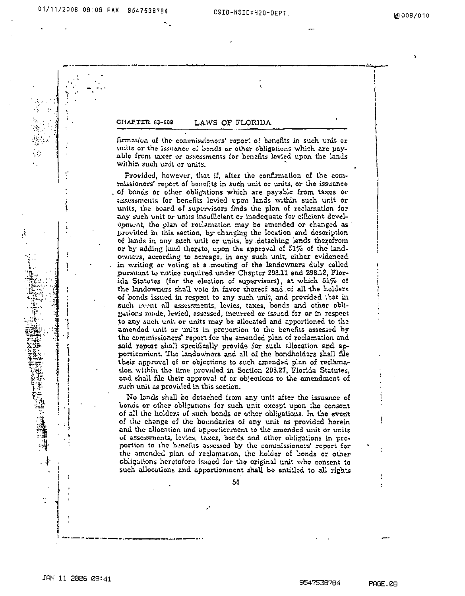01/11/2006 09:09 FAX 9547538784



JAN 11 2006 09:41

9547538784

PAGE.08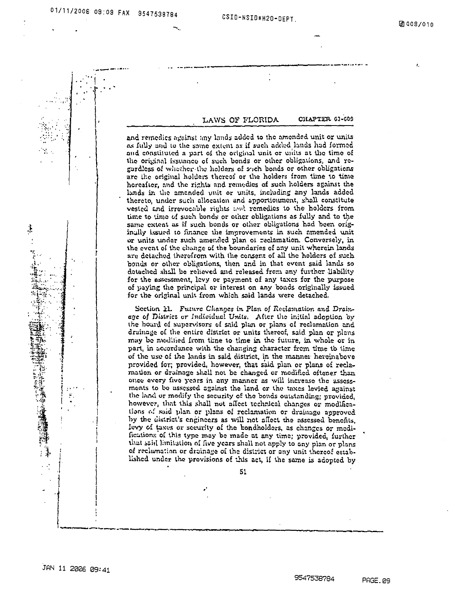t,

CHAPTER 63-600 LAWS OF FLORIDA

and remedies against any lands added to the amended unit or units as fully and to the same extent as if such added lands had formed and constituted a part of the original unit or units at the time of the original issuance of such bonds or other obligations, and regardless of whether the holders of anch bonds or other obligations are the original holders thereof or the holders from time to time hereafter, and the rights and remodies of such holders against the lands in the amended unit or units, including any lands added thereto, under such allocation and apportionment, shall constitute vested and irrevocable rights and remedies to the holders from time to time of such bonds or other obligations as fully and to the same extent as if such bonds or other obligations had been originglly issued to finance the improvements in such amended unit or units under such amended plan of reclamation. Conversely, in the event of the change of the boundaries of any unit wherein lands are detached therefrom with the consent of all the holders of such bonds or other obligations, then and in that event said lands so detached shall be relieved and released from any further liability for the assessment, levy or payment of any taxes for the purpose of paying the principal or interest on any bonds originally issued for the original unit from which said lands were detached,

Section 11. Future Changes in Plan of Reclamation and Drainage of District or Individual Units. After the initial adoption by the hourd of supervisors of said plan or plans of reclamation and drainage of the entire district or units thereof, said plan or plans may be modified from time to time in the future, in whole or in part, in accordance with the changing character from time to time of the use of the lands in said district, in the manner hereinabove provided for; provided, however, that said plan or plans of reclamation or drainage shall not be changed or modified oftener than once every five years in any manner as will increase the assessments to be assessed against the land or the taxes levied against the land or modify the security of the bonds outstanding; provided, however, that this shall not affect technical changes or modifications of said plan or plans of reclamation or drainage approved by the district's engineers as will not affect the assessed benefits, levy of taxes or security of the bondholders, as changes or modificutions of this type may be made at any time; provided, further that said limitation of five years shall not apply to any plan or plans of reclamation or drainage of the district or any unit thereof established under the provisions of this act, if the same is adopted by

 $51$ 

Ţ.